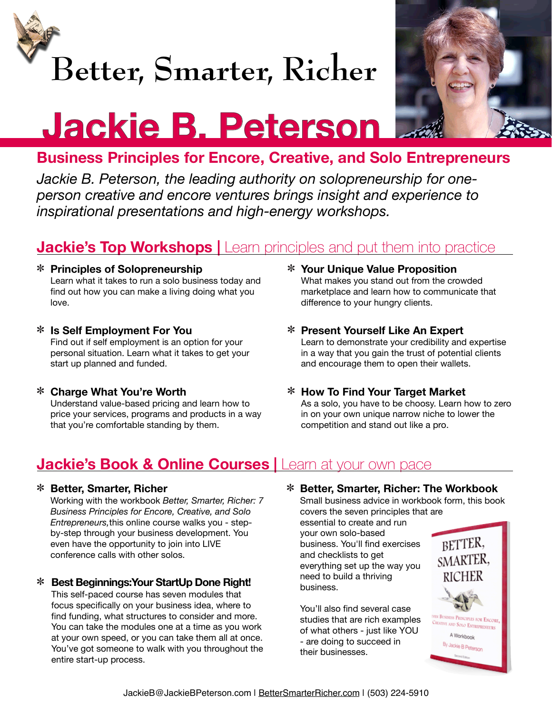

# **Better, Smarter, Richer**



# **Jackie B. Peterson**

## **Business Principles for Encore, Creative, and Solo Entrepreneurs**

*Jackie B. Peterson, the leading authority on solopreneurship for oneperson creative and encore ventures brings insight and experience to inspirational presentations and high-energy workshops.*

## **Jackie's Top Workshops | Learn principles and put them into practice**

#### **Principles of Solopreneurship** Learn what it takes to run a solo business today and find out how you can make a living doing what you love.

- **Is Self Employment For You** Find out if self employment is an option for your personal situation. Learn what it takes to get your start up planned and funded.
- **Charge What You're Worth** Understand value-based pricing and learn how to price your services, programs and products in a way that you're comfortable standing by them.
- **Your Unique Value Proposition** What makes you stand out from the crowded marketplace and learn how to communicate that difference to your hungry clients.
- **Present Yourself Like An Expert** Learn to demonstrate your credibility and expertise in a way that you gain the trust of potential clients and encourage them to open their wallets.
- **How To Find Your Target Market** As a solo, you have to be choosy. Learn how to zero in on your own unique narrow niche to lower the competition and stand out like a pro.

### **Jackie's Book & Online Courses** | Learn at your own pace

#### **Better, Smarter, Richer**

Working with the workbook *Better, Smarter, Richer: 7 Business Principles for Encore, Creative, and Solo Entrepreneurs,*this online course walks you - stepby-step through your business development. You even have the opportunity to join into LIVE conference calls with other solos.

#### **Best Beginnings:Your StartUp Done Right!**

This self-paced course has seven modules that focus specifically on your business idea, where to find funding, what structures to consider and more. You can take the modules one at a time as you work at your own speed, or you can take them all at once. You've got someone to walk with you throughout the entire start-up process.

**Better, Smarter, Richer: The Workbook**

Small business advice in workbook form, this book covers the seven principles that are

essential to create and run your own solo-based business. You'll find exercises and checklists to get everything set up the way you need to build a thriving business.

You'll also find several case studies that are rich examples of what others - just like YOU - are doing to succeed in their businesses.